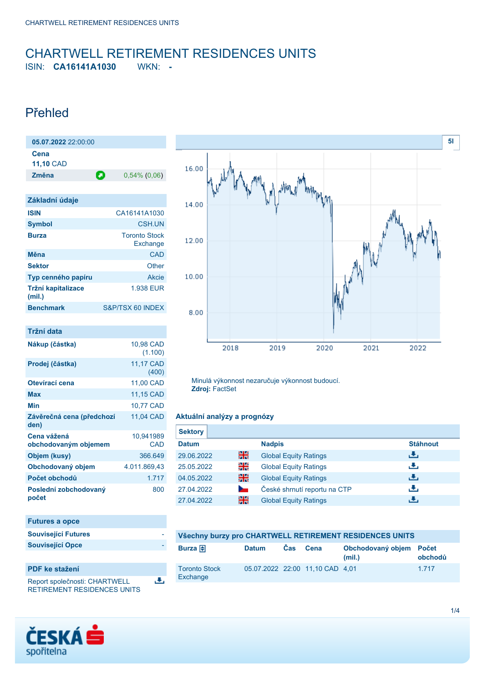# <span id="page-0-0"></span>CHARTWELL RETIREMENT RESIDENCES UNITS

ISIN: **CA16141A1030** WKN: **-**

### Přehled

| 05.07.2022 22:00:00      |   |                 |
|--------------------------|---|-----------------|
| Cena<br><b>11,10 CAD</b> |   |                 |
| Změna                    | О | $0,54\%$ (0,06) |

| Základní údaje               |                                  |
|------------------------------|----------------------------------|
| <b>ISIN</b>                  | CA16141A1030                     |
| <b>Symbol</b>                | CSH UN                           |
| <b>Burza</b>                 | <b>Toronto Stock</b><br>Exchange |
| Měna                         | CAD                              |
| <b>Sektor</b>                | Other                            |
| Typ cenného papíru           | Akcie                            |
| Tržní kapitalizace<br>(mil.) | 1.938 EUR                        |
| <b>Benchmark</b>             | S&P/TSX 60 INDEX                 |

| Tržní data                          |                      |
|-------------------------------------|----------------------|
| Nákup (částka)                      | 10,98 CAD<br>(1.100) |
| Prodej (částka)                     | 11,17 CAD<br>(400)   |
| Otevírací cena                      | 11,00 CAD            |
| <b>Max</b>                          | 11,15 CAD            |
| Min                                 | 10,77 CAD            |
| Závěrečná cena (předchozí<br>den)   | 11.04 CAD            |
| Cena vážená<br>obchodovaným objemem | 10,941989<br>CAD     |
| Objem (kusy)                        | 366.649              |
| Obchodovaný objem                   | 4.011.869,43         |
| Počet obchodů                       | 1.717                |
| Poslední zobchodovaný<br>počet      | 800                  |

| <b>Futures a opce</b>      |  |
|----------------------------|--|
| <b>Související Futures</b> |  |
| <b>Související Opce</b>    |  |

### **PDF ke stažení**

Report společnosti: CHARTWELL RETIREMENT RESIDENCES UNITS 选



Minulá výkonnost nezaručuje výkonnost budoucí. **Zdroj:** FactSet

### **Aktuální analýzy a prognózy**

| <b>Sektory</b> |                |                              |                 |
|----------------|----------------|------------------------------|-----------------|
| <b>Datum</b>   |                | <b>Nadpis</b>                | <b>Stáhnout</b> |
| 29.06.2022     | 을중             | <b>Global Equity Ratings</b> | رالى            |
| 25.05.2022     | 읡              | <b>Global Equity Ratings</b> | رنان            |
| 04.05.2022     | 을중             | <b>Global Equity Ratings</b> | رالى            |
| 27.04.2022     | <b>Service</b> | České shrnutí reportu na CTP | رنان            |
| 27.04.2022     | 꾉쭍             | <b>Global Equity Ratings</b> | ٠₩,             |

| Všechny burzy pro CHARTWELL RETIREMENT RESIDENCES UNITS |              |            |                                 |                                   |         |
|---------------------------------------------------------|--------------|------------|---------------------------------|-----------------------------------|---------|
| Burza $\bigoplus$                                       | <b>Datum</b> | <b>Cas</b> | Cena                            | Obchodovaný objem Počet<br>(mil.) | obchodů |
| <b>Toronto Stock</b><br>Exchange                        |              |            | 05.07.2022 22:00 11.10 CAD 4.01 |                                   | 1.717   |

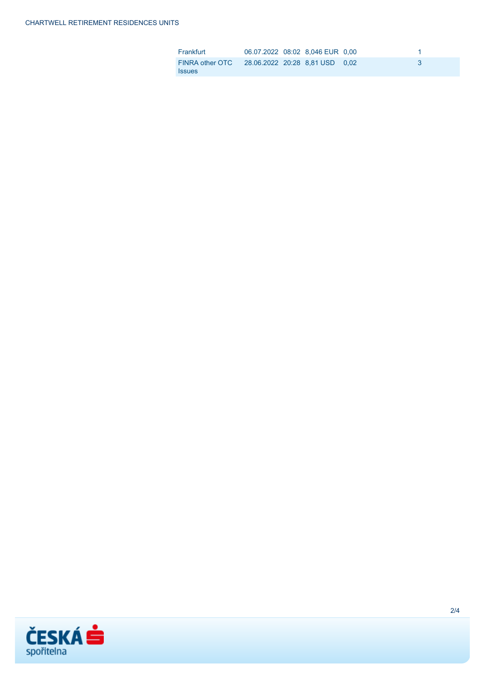| Frankfurt                                                       | 06.07.2022 08:02 8,046 EUR 0,00 |  |  |
|-----------------------------------------------------------------|---------------------------------|--|--|
| FINRA other OTC 28.06.2022 20:28 8.81 USD 0.02<br><b>Issues</b> |                                 |  |  |

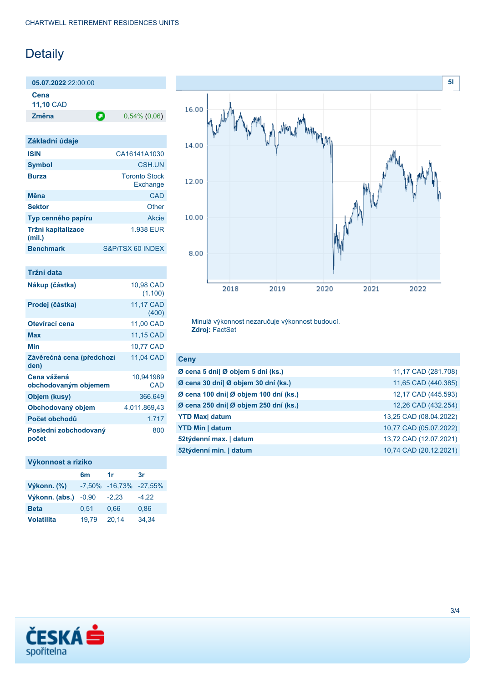## Detaily

**05.07.2022** 22:00:00 **Cena**

**11,10** CAD

**Změna** 0,54% (0,06)

| Základní údaje               |                                  |
|------------------------------|----------------------------------|
| <b>ISIN</b>                  | CA16141A1030                     |
| <b>Symbol</b>                | <b>CSH UN</b>                    |
| <b>Burza</b>                 | <b>Toronto Stock</b><br>Exchange |
| Měna                         | CAD                              |
| <b>Sektor</b>                | Other                            |
| Typ cenného papíru           | Akcie                            |
| Tržní kapitalizace<br>(mil.) | 1.938 EUR                        |
| <b>Benchmark</b>             | S&P/TSX 60 INDEX                 |

| Tržní data                          |                      |
|-------------------------------------|----------------------|
| Nákup (částka)                      | 10,98 CAD<br>(1.100) |
| Prodej (částka)                     | 11,17 CAD<br>(400)   |
| Otevírací cena                      | 11,00 CAD            |
| Max                                 | 11,15 CAD            |
| Min                                 | 10,77 CAD            |
| Závěrečná cena (předchozí<br>den)   | 11,04 CAD            |
| Cena vážená<br>obchodovaným objemem | 10,941989<br>CAD     |
| Objem (kusy)                        | 366.649              |
| Obchodovaný objem                   | 4.011.869,43         |
| Počet obchodů                       | 1.717                |
| Poslední zobchodovaný<br>počet      | 800                  |

### **Výkonnost a riziko**

|                   | 6m      | 1r                     | 3r      |
|-------------------|---------|------------------------|---------|
| Výkonn. (%)       |         | -7,50% -16,73% -27,55% |         |
| Výkonn. (abs.)    | $-0.90$ | $-2.23$                | $-4.22$ |
| <b>Beta</b>       | 0.51    | 0,66                   | 0,86    |
| <b>Volatilita</b> | 19.79   | 20,14                  | 34,34   |



Minulá výkonnost nezaručuje výkonnost budoucí. **Zdroj:** FactSet

| <b>Ceny</b>                           |                        |
|---------------------------------------|------------------------|
| Ø cena 5 dní  Ø objem 5 dní (ks.)     | 11,17 CAD (281.708)    |
| Ø cena 30 dní  Ø objem 30 dní (ks.)   | 11,65 CAD (440.385)    |
| Ø cena 100 dní  Ø objem 100 dní (ks.) | 12,17 CAD (445.593)    |
| Ø cena 250 dní  Ø objem 250 dní (ks.) | 12,26 CAD (432.254)    |
| <b>YTD Max</b> datum                  | 13,25 CAD (08.04.2022) |
| <b>YTD Min   datum</b>                | 10,77 CAD (05.07.2022) |
| 52týdenní max.   datum                | 13,72 CAD (12.07.2021) |
| 52týdenní min.   datum                | 10,74 CAD (20.12.2021) |